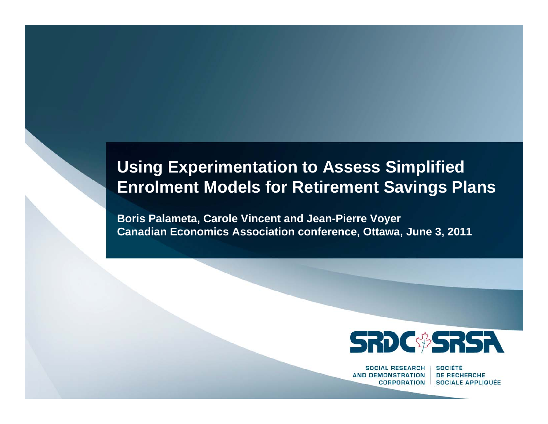#### **Using Experimentation to Assess Simplified Enrolment Models for Retirement Savings Plans**

**Boris Palameta, Carole Vincent and Jean-Pierre Voyer Canadian Economics Association conference, Ottawa, June 3, 2011**



**SOCIAL RESEARCH AND DEMONSTRATION CORPORATION** 

**SOCIÉTÉ DE RECHERCHE SOCIALE APPLIQUÉE**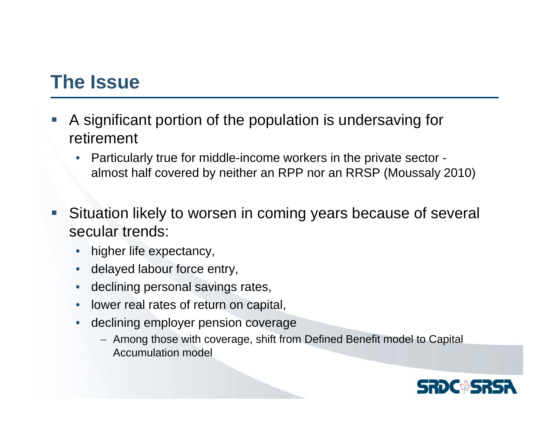#### **The Issue**

- e<br>S A significant portion of the population is undersaving for retirement
	- • Particularly true for middle-income workers in the private sector almost half covered by neither an RPP nor an RRSP (Moussaly 2010)
- e<br>S Situation likely to worsen in coming years because of several secular trends:
	- •higher life expectancy,
	- •delayed labour force entry,
	- $\bullet$ declining personal savings rates,
	- $\bullet$ lower real rates of return on capital,
	- • declining employer pension coverage
		- Among those with coverage, shift from Defined Benefit model to Capital Accumulation model

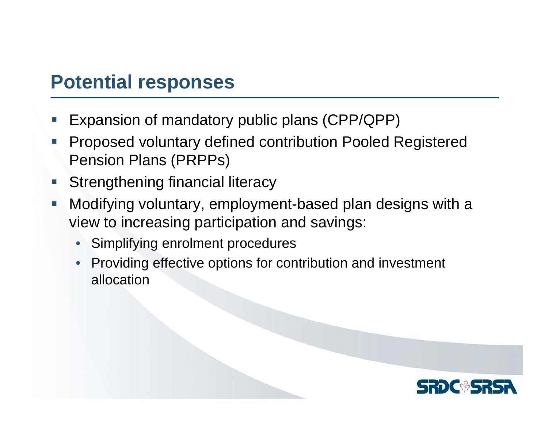#### **Potential responses**

- e<br>S Expansion of mandatory public plans (CPP/QPP)
- e<br>S Proposed voluntary defined contribution Pooled Registered Pension Plans (PRPPs)
- e<br>S Strengthening financial literacy
- $\Box$  Modifying voluntary, employment-based plan designs with a view to increasing participation and savings:
	- •Simplifying enrolment procedures
	- • Providing effective options for contribution and investment allocation

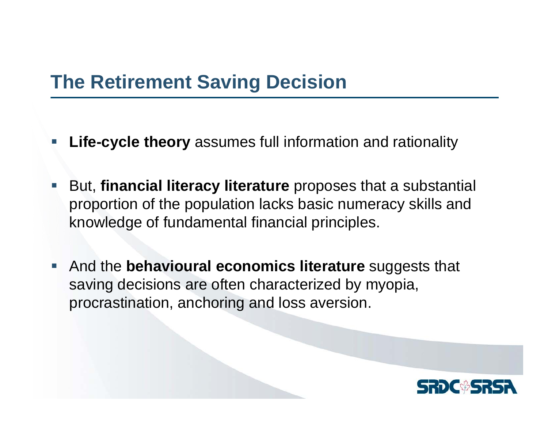### **The Retirement Saving Decision**

- **Service Service Life-cycle theory** assumes full information and rationality
- **Service Service**  But, **financial literacy literature** proposes that a substantial proportion of the population lacks basic numeracy skills and knowledge of fundamental financial principles.
- $\mathcal{L}_{\mathcal{A}}$  And the **behavioural economics literature** suggests that saving decisions are often characterized by myopia, procrastination, anchoring and loss aversion.

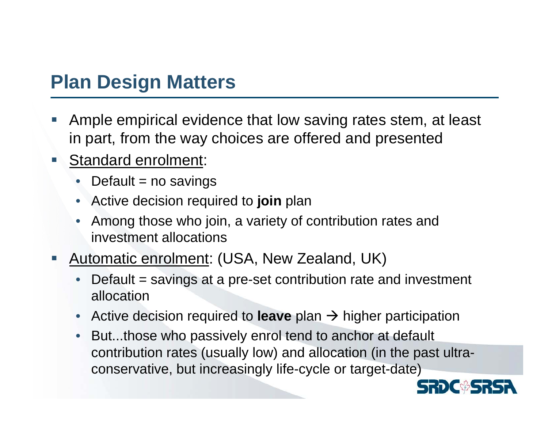#### **Plan Design Matters**

- e<br>S Ample empirical evidence that low saving rates stem, at least in part, from the way choices are offered and presented
- $\mathcal{L}_{\mathcal{A}}$  Standard enrolment:
	- Default = no savings
	- •Active decision required to **join** plan
	- • Among those who join, a variety of contribution rates and investment allocations
- e<br>S Automatic enrolment: (USA, New Zealand, UK)
	- • Default = savings at a pre-set contribution rate and investment allocation
	- $\bullet$ ■ Active decision required to leave plan → higher participation
	- $\bullet$  But...those who passively enrol tend to anchor at default contribution rates (usually low) and allocation (in the past ultraconservative, but increasingly life-cycle or target-date)

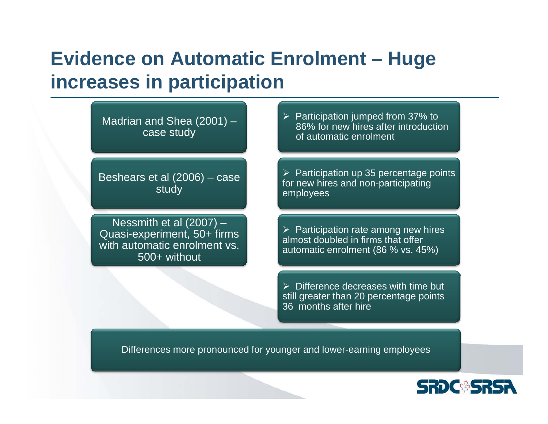## **Evidence on Automatic Enrolment – Huge increases in participation**

Madrian and Shea (2001) – case study

Beshears et al (2006) – case study

Nessmith et al (2007) – Quasi-experiment, 50+ firms with automatic enrolment vs. 500+ without

 $\triangleright$  Participation jumped from 37% to 86% for new hires after introduction of automatic enrolment

 $\triangleright$  Participation up 35 percentage points for new hires and non-participating employees

 $\triangleright$  Participation rate among new hires almost doubled in firms that offer automatic enrolment (86 % vs. 45%)

 $\triangleright$  Difference decreases with time but still greater than 20 percentage points 36 months after hire

Differences more pronounced for younger and lower-earning employees

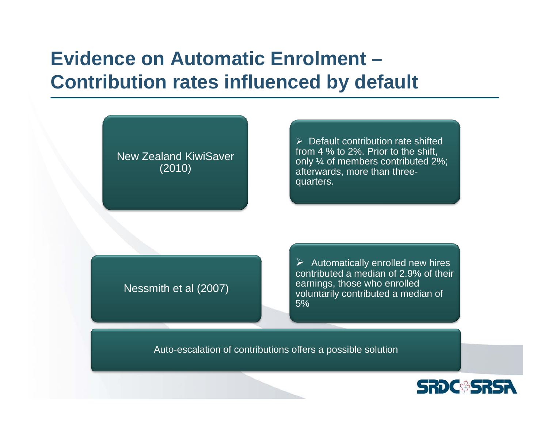## **Evidence on Automatic Enrolment –Contribution rates influenced by default**

New Zealand KiwiSaver(2010)

 $\triangleright$  Default contribution rate shifted from 4 % to 2%. Prior to the shift, only ¼ of members contributed 2%; afterwards, more than threequarters.

#### Nessmith et al (2007)

 $\triangleright$  Automatically enrolled new hires contributed a median of 2.9% of their earnings, those who enrolled voluntarily contributed a median of 5%

Auto-escalation of contributions offers a possible solution

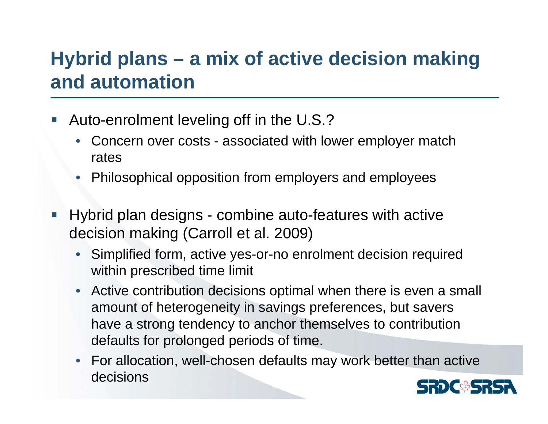## **Hybrid plans – a mix of active decision making and automation**

- e<br>S Auto-enrolment leveling off in the U.S.?
	- • Concern over costs - associated with lower employer match rates
	- •Philosophical opposition from employers and employees
- e<br>S Hybrid plan designs - combine auto-features with active decision making (Carroll et al. 2009)
	- Simplified form, active yes-or-no enrolment decision required within prescribed time limit
	- Active contribution decisions optimal when there is even a small amount of heterogeneity in savings preferences, but savers have a strong tendency to anchor themselves to contribution defaults for prolonged periods of time.
	- For allocation, well-chosen defaults may work better than active decisions

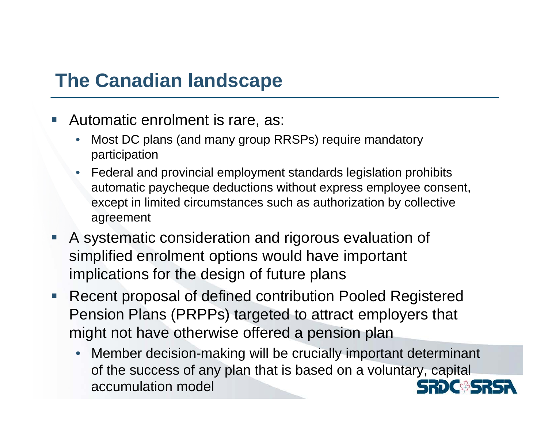## **The Canadian landscape**

- e<br>S Automatic enrolment is rare, as:
	- • Most DC plans (and many group RRSPs) require mandatory participation
	- Federal and provincial employment standards legislation prohibits automatic paycheque deductions without express employee consent, except in limited circumstances such as authorization by collective agreement
- e<br>S A systematic consideration and rigorous evaluation of simplified enrolment options would have important implications for the design of future plans
- $\mathcal{L}_{\mathcal{A}}$  Recent proposal of defined contribution Pooled Registered Pension Plans (PRPPs) targeted to attract employers that might not have otherwise offered a pension plan
	- Member decision-making will be crucially important determinant •of the success of any plan that is based on a voluntary, capital accumulation model**CHAIT.**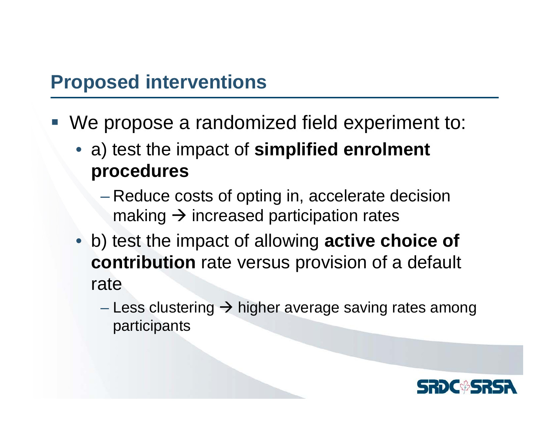#### **Proposed interventions**

- We propose a randomized field experiment to:
	- a) test the impact of **simplified enrolment procedures**
		- – Reduce costs of opting in, accelerate decision making  $\rightarrow$  increased participation rates
	- b) test the impact of allowing **active choice of contribution** rate versus provision of a default rate
		- Less clustering  $\rightarrow$  higher average saving rates among participants

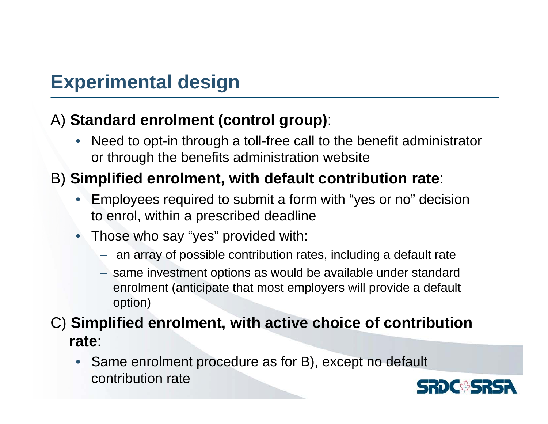#### **Experimental design**

#### A) **Standard enrolment (control group)**:

• Need to opt-in through a toll-free call to the benefit administrator or through the benefits administration website

#### B) **Simplified enrolment, with default contribution rate**:

- • Employees required to submit a form with "yes or no" decision to enrol, within a prescribed deadline
- Those who say "yes" provided with:
	- an array of possible contribution rates, including a default rate
	- same investment options as would be available under standard enrolment (anticipate that most employers will provide a default option)

#### C) **Simplified enrolment, with active choice of contribution rate**:

• Same enrolment procedure as for B), except no default contribution rate

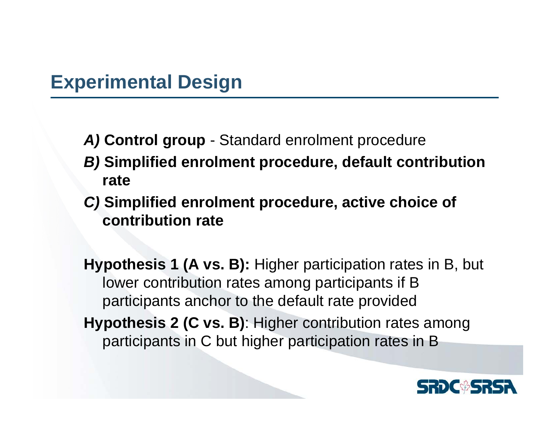- *A)* **Control group**  Standard enrolment procedure
- *B)* **Simplified enrolment procedure, default contribution rate**
- *C)* **Simplified enrolment procedure, active choice of contribution rate**

**Hypothesis 1 (A vs. B):** Higher participation rates in B, but lower contribution rates among participants if B participants anchor to the default rate provided

**Hypothesis 2 (C vs. B)**: Higher contribution rates among participants in C but higher participation rates in B

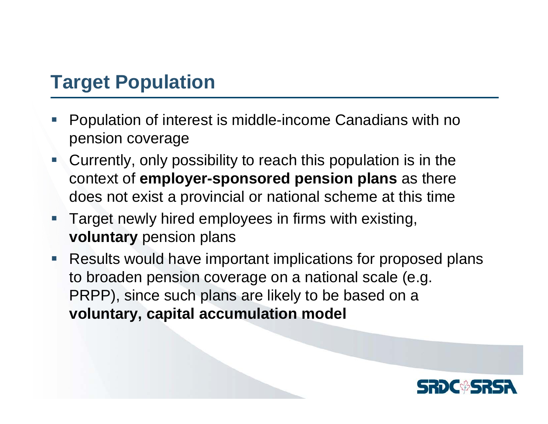## **Target Population**

- e<br>S Population of interest is middle-income Canadians with no pension coverage
- Currently, only possibility to reach this population is in the context of **employer-sponsored pension plans** as there does not exist a provincial or national scheme at this time
- $\mathcal{L}_{\mathcal{A}}$  Target newly hired employees in firms with existing, **voluntary** pension plans
- $\mathcal{L}_{\mathcal{A}}$  Results would have important implications for proposed plans to broaden pension coverage on a national scale (e.g. PRPP), since such plans are likely to be based on a **voluntary, capital accumulation model**

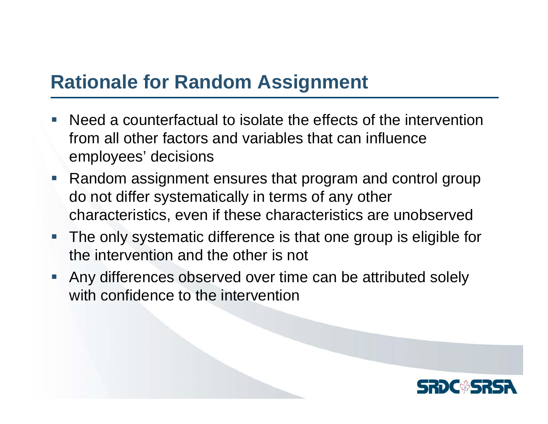#### **Rationale for Random Assignment**

- e<br>S Need a counterfactual to isolate the effects of the intervention from all other factors and variables that can influence employees' decisions
- $\mathcal{L}_{\mathcal{A}}$  Random assignment ensures that program and control group do not differ systematically in terms of any other characteristics, even if these characteristics are unobserved
- The only systematic difference is that one group is eligible for the intervention and the other is not
- Any differences observed over time can be attributed solely with confidence to the intervention

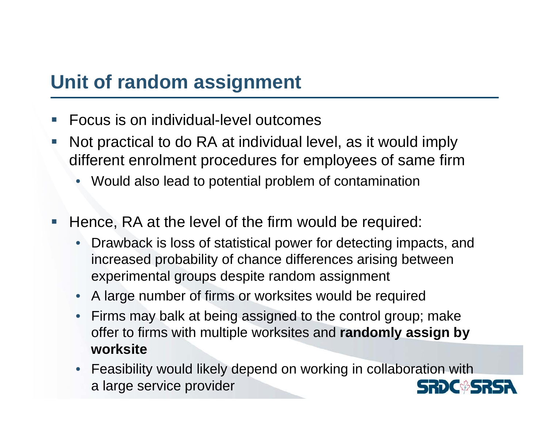### **Unit of random assignment**

- e<br>S Focus is on individual-level outcomes
- e<br>S Not practical to do RA at individual level, as it would imply different enrolment procedures for employees of same firm
	- •Would also lead to potential problem of contamination
- e<br>S Hence, RA at the level of the firm would be required:
	- • Drawback is loss of statistical power for detecting impacts, and increased probability of chance differences arising between experimental groups despite random assignment
	- $\bullet$ A large number of firms or worksites would be required
	- • Firms may balk at being assigned to the control group; make offer to firms with multiple worksites and **randomly assign by worksite**
	- Feasibility would likely depend on working in collaboration with a large service provider**SRDC<sup>&</sup>SR**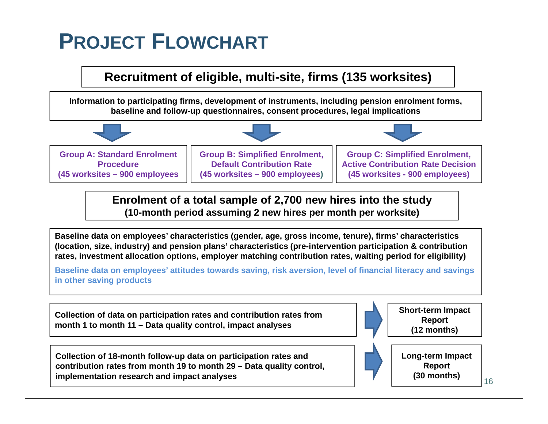# **PROJECT FLOWCHART**

#### **Recruitment of eligible, multi-site, firms (135 worksites)**

**Information to participating firms, development of instruments, including pension enrolment forms, baseline and follow-up questionnaires, consent procedures, legal implications**



**Enrolment of a total sample of 2,700 new hires into the study (10-month period assuming 2 new hires per month per worksite)**

**Baseline data on employees' characteristics (gender, age, gross income, tenure), firms' characteristics (location, size, industry) and pension plans' characteristics (pre-intervention participation & contribution rates, investment allocation options, employer matching contribution rates, waiting period for eligibility)**

**Baseline data on employees' attitudes towards saving, risk aversion, level of financial literacy and savings in other saving products**